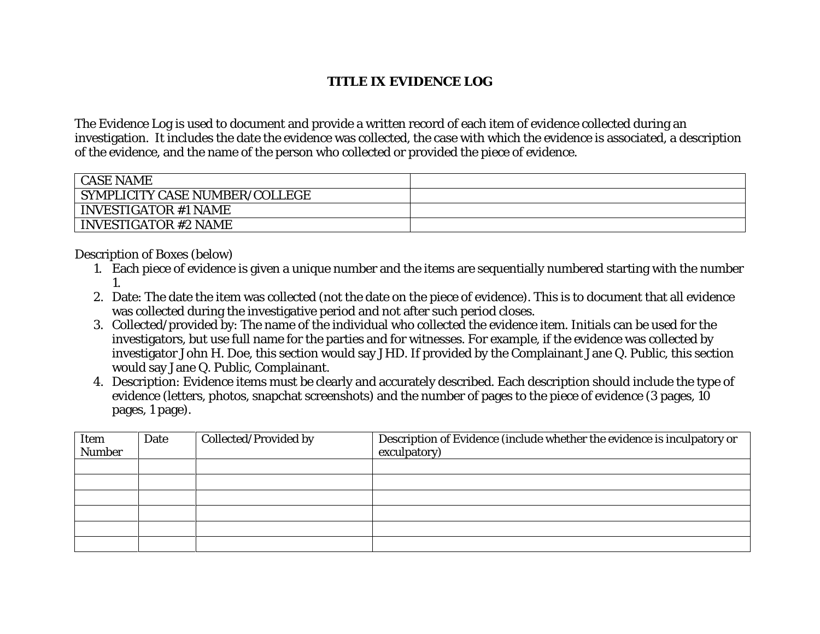## **TITLE IX EVIDENCE LOG**

The Evidence Log is used to document and provide a written record of each item of evidence collected during an investigation. It includes the date the evidence was collected, the case with which the evidence is associated, a description of the evidence, and the name of the person who collected or provided the piece of evidence.

| <b>CASE NAME</b>                      |  |
|---------------------------------------|--|
| <b>SYMPLICITY CASE NUMBER/COLLEGE</b> |  |
| <b>INVESTIGATOR #1 NAME</b>           |  |
| <b>INVESTIGATOR #2 NAME</b>           |  |

Description of Boxes (below)

- 1. Each piece of evidence is given a unique number and the items are sequentially numbered starting with the number 1.
- 2. Date: The date the item was collected (not the date on the piece of evidence). This is to document that all evidence was collected during the investigative period and not after such period closes.
- 3. Collected/provided by: The name of the individual who collected the evidence item. Initials can be used for the investigators, but use full name for the parties and for witnesses. For example, if the evidence was collected by investigator John H. Doe, this section would say JHD. If provided by the Complainant Jane Q. Public, this section would say Jane Q. Public, Complainant.
- 4. Description: Evidence items must be clearly and accurately described. Each description should include the type of evidence (letters, photos, snapchat screenshots) and the number of pages to the piece of evidence (3 pages, 10 pages, 1 page).

| Item<br>Number | Date | <b>Collected/Provided by</b> | Description of Evidence (include whether the evidence is inculpatory or<br>exculpatory) |
|----------------|------|------------------------------|-----------------------------------------------------------------------------------------|
|                |      |                              |                                                                                         |
|                |      |                              |                                                                                         |
|                |      |                              |                                                                                         |
|                |      |                              |                                                                                         |
|                |      |                              |                                                                                         |
|                |      |                              |                                                                                         |